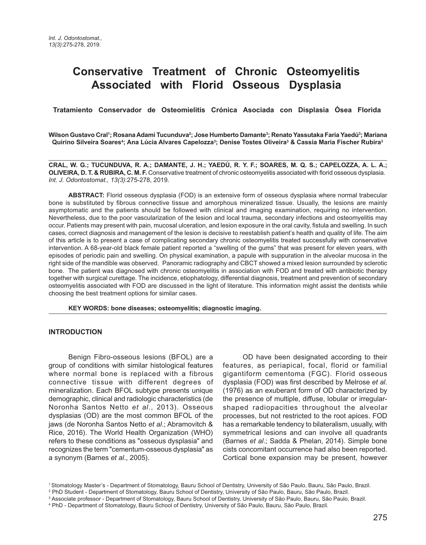# **Conservative Treatment of Chronic Osteomyelitis Associated with Florid Osseous Dysplasia**

 **Tratamiento Conservador de Osteomielitis Crónica Asociada con Displasia Ósea Florida** 

Wilson Gustavo Cral'; Rosana Adami Tucunduva<sup>2</sup>; Jose Humberto Damante<sup>3</sup>; Renato Yassutaka Faria Yaedú<sup>3</sup>; Mariana  **Quirino Silveira Soares4 ; Ana Lúcia Alvares Capelozza3 ; Denise Tostes Oliveira3 & Cassia Maria Fischer Rubira3**

**CRAL, W. G.; TUCUNDUVA, R. A.; DAMANTE, J. H.; YAEDÚ, R. Y. F.; SOARES, M. Q. S.; CAPELOZZA, A. L. A.; OLIVEIRA, D. T. & RUBIRA, C. M. F.** Conservative treatment of chronic osteomyelitis associated with florid osseous dysplasia. *Int. J. Odontostomat., 13(3)*:275-278, 2019.

**ABSTRACT:** Florid osseous dysplasia (FOD) is an extensive form of osseous dysplasia where normal trabecular bone is substituted by fibrous connective tissue and amorphous mineralized tissue. Usually, the lesions are mainly asymptomatic and the patients should be followed with clinical and imaging examination, requiring no intervention. Nevertheless, due to the poor vascularization of the lesion and local trauma, secondary infections and osteomyelitis may occur. Patients may present with pain, mucosal ulceration, and lesion exposure in the oral cavity, fistula and swelling. In such cases, correct diagnosis and management of the lesion is decisive to reestablish patient's health and quality of life. The aim of this article is to present a case of complicating secondary chronic osteomyelitis treated successfully with conservative intervention. A 68-year-old black female patient reported a "swelling of the gums" that was present for eleven years, with episodes of periodic pain and swelling. On physical examination, a papule with suppuration in the alveolar mucosa in the right side of the mandible was observed. Panoramic radiography and CBCT showed a mixed lesion surrounded by sclerotic bone. The patient was diagnosed with chronic osteomyelitis in association with FOD and treated with antibiotic therapy together with surgical curettage. The incidence, etiophatology, differential diagnosis, treatment and prevention of secondary osteomyelitis associated with FOD are discussed in the light of literature. This information might assist the dentists while choosing the best treatment options for similar cases.

**KEY WORDS: bone diseases; osteomyelitis; diagnostic imaging.**

## **INTRODUCTION**

Benign Fibro-osseous lesions (BFOL) are a group of conditions with similar histological features where normal bone is replaced with a fibrous connective tissue with different degrees of mineralization. Each BFOL subtype presents unique demographic, clinical and radiologic characteristics (de Noronha Santos Netto *et al*., 2013). Osseous dysplasias (OD) are the most common BFOL of the jaws (de Noronha Santos Netto *et al*.; Abramovitch & Rice, 2016). The World Health Organization (WHO) refers to these conditions as "osseous dysplasia" and recognizes the term "cementum-osseous dysplasia" as a synonym (Barnes *et al*., 2005).

OD have been designated according to their features, as periapical, focal, florid or familial gigantiform cementoma (FGC). Florid osseous dysplasia (FOD) was first described by Melrose *et al*. (1976) as an exuberant form of OD characterized by the presence of multiple, diffuse, lobular or irregularshaped radiopacities throughout the alveolar processes, but not restricted to the root apices. FOD has a remarkable tendency to bilateralism, usually, with symmetrical lesions and can involve all quadrants (Barnes *et al*.; Sadda & Phelan, 2014). Simple bone cists concomitant occurrence had also been reported. Cortical bone expansion may be present, however

<sup>1</sup> Stomatology Master's - Department of Stomatology, Bauru School of Dentistry, University of São Paulo, Bauru, São Paulo, Brazil.

<sup>2</sup> PhD Student - Department of Stomatology, Bauru School of Dentistry, University of São Paulo, Bauru, São Paulo, Brazil.

<sup>3</sup> Associate professor - Department of Stomatology, Bauru School of Dentistry, University of São Paulo, Bauru, São Paulo, Brazil.

<sup>4</sup> PhD - Department of Stomatology, Bauru School of Dentistry, University of São Paulo, Bauru, São Paulo, Brazil.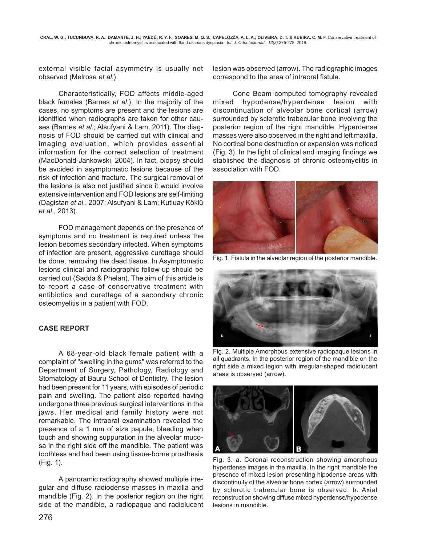external visible facial asymmetry is usually not observed (Melrose *et al*.).

Characteristically, FOD affects middle-aged black females (Barnes *et al*.). In the majority of the cases, no symptoms are present and the lesions are identified when radiographs are taken for other causes (Barnes *et al*.; Alsufyani & Lam, 2011). The diagnosis of FOD should be carried out with clinical and imaging evaluation, which provides essential information for the correct selection of treatment (MacDonald-Jankowski, 2004). In fact, biopsy should be avoided in asymptomatic lesions because of the risk of infection and fracture. The surgical removal of the lesions is also not justified since it would involve extensive intervention and FOD lesions are self-limiting (Dagistan *et al*., 2007; Alsufyani & Lam; Kutluay Köklü *et al*., 2013).

FOD management depends on the presence of symptoms and no treatment is required unless the lesion becomes secondary infected. When symptoms of infection are present, aggressive curettage should be done, removing the dead tissue. In Asymptomatic lesions clinical and radiographic follow-up should be carried out (Sadda & Phelan). The aim of this article is to report a case of conservative treatment with antibiotics and curettage of a secondary chronic osteomyelitis in a patient with FOD.

# **CASE REPORT**

A 68-year-old black female patient with a complaint of "swelling in the gums" was referred to the Department of Surgery, Pathology, Radiology and Stomatology at Bauru School of Dentistry. The lesion had been present for 11 years, with episodes of periodic pain and swelling. The patient also reported having undergone three previous surgical interventions in the jaws. Her medical and family history were not remarkable. The intraoral examination revealed the presence of a 1 mm of size papule, bleeding when touch and showing suppuration in the alveolar mucosa in the right side off the mandible. The patient was toothless and had been using tissue-borne prosthesis (Fig. 1).

A panoramic radiography showed multiple irregular and diffuse radiodense masses in maxilla and mandible (Fig. 2). In the posterior region on the right side of the mandible, a radiopaque and radiolucent lesion was observed (arrow). The radiographic images correspond to the area of intraoral fistula.

Cone Beam computed tomography revealed mixed hypodense/hyperdense lesion with discontinuation of alveolar bone cortical (arrow) surrounded by sclerotic trabecular bone involving the posterior region of the right mandible. Hyperdense masses were also observed in the right and left maxilla. No cortical bone destruction or expansion was noticed (Fig. 3). In the light of clinical and imaging findings we stablished the diagnosis of chronic osteomyelitis in association with FOD.



Fig. 1. Fistula in the alveolar region of the posterior mandible.



Fig. 2. Multiple Amorphous extensive radiopaque lesions in all quadrants. In the posterior region of the mandible on the right side a mixed legion with irregular-shaped radiolucent areas is observed (arrow).



Fig. 3. a. Coronal reconstruction showing amorphous hyperdense images in the maxilla. In the right mandible the presence of mixed lesion presenting hipodense areas with discontinuity of the alveolar bone cortex (arrow) surrounded by sclerotic trabecular bone is observed. b. Axial reconstruction showing diffuse mixed hyperdense/hypodense lesions in mandible.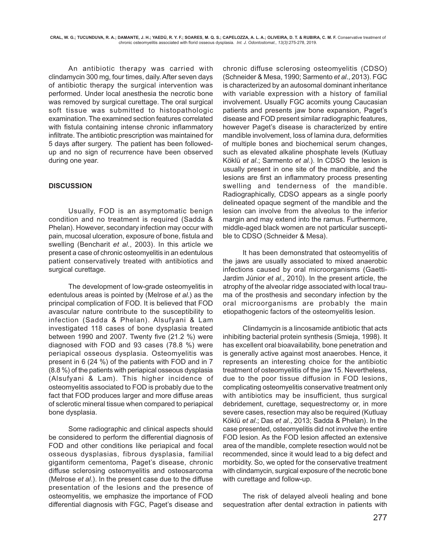An antibiotic therapy was carried with clindamycin 300 mg, four times, daily. After seven days of antibiotic therapy the surgical intervention was performed. Under local anesthesia the necrotic bone was removed by surgical curettage. The oral surgical soft tissue was submitted to histopathologic examination. The examined section features correlated with fistula containing intense chronic inflammatory infiltrate. The antibiotic prescription was maintained for 5 days after surgery. The patient has been followedup and no sign of recurrence have been observed during one year.

## **DISCUSSION**

Usually, FOD is an asymptomatic benign condition and no treatment is required (Sadda & Phelan). However, secondary infection may occur with pain, mucosal ulceration, exposure of bone, fistula and swelling (Bencharit *et al*., 2003). In this article we present a case of chronic osteomyelitis in an edentulous patient conservatively treated with antibiotics and surgical curettage.

The development of low-grade osteomyelitis in edentulous areas is pointed by (Melrose *et al*.) as the principal complication of FOD. It is believed that FOD avascular nature contribute to the susceptibility to infection (Sadda & Phelan). Alsufyani & Lam investigated 118 cases of bone dysplasia treated between 1990 and 2007. Twenty five (21.2 %) were diagnosed with FOD and 93 cases (78.8 %) were periapical osseous dysplasia. Osteomyelitis was present in 6 (24 %) of the patients with FOD and in 7 (8.8 %) of the patients with periapical osseous dysplasia (Alsufyani & Lam). This higher incidence of osteomyelitis associated to FOD is probably due to the fact that FOD produces larger and more diffuse areas of sclerotic mineral tissue when compared to periapical bone dysplasia.

Some radiographic and clinical aspects should be considered to perform the differential diagnosis of FOD and other conditions like periapical and focal osseous dysplasias, fibrous dysplasia, familial gigantiform cementoma, Paget's disease, chronic diffuse sclerosing osteomyelitis and osteosarcoma (Melrose *et al*.). In the present case due to the diffuse presentation of the lesions and the presence of osteomyelitis, we emphasize the importance of FOD differential diagnosis with FGC, Paget's disease and chronic diffuse sclerosing osteomyelitis (CDSO) (Schneider & Mesa, 1990; Sarmento *et al*., 2013). FGC is characterized by an autosomal dominant inheritance with variable expression with a history of familial involvement. Usually FGC acomits young Caucasian patients and presents jaw bone expansion, Paget's disease and FOD present similar radiographic features, however Paget's disease is characterized by entire mandible involvement, loss of lamina dura, deformities of multiple bones and biochemical serum changes, such as elevated alkaline phosphate levels (Kutluay Köklü *et al*.; Sarmento *et al*.). In CDSO the lesion is usually present in one site of the mandible, and the lesions are first an inflammatory process presenting swelling and tenderness of the mandible. Radiographically, CDSO appears as a single poorly delineated opaque segment of the mandible and the lesion can involve from the alveolus to the inferior margin and may extend into the ramus. Furthermore, middle-aged black women are not particular susceptible to CDSO (Schneider & Mesa).

It has been demonstrated that osteomyelitis of the jaws are usually associated to mixed anaerobic infections caused by oral microorganisms (Gaetti-Jardim Júnior *et al*., 2010). In the present article, the atrophy of the alveolar ridge associated with local trauma of the prosthesis and secondary infection by the oral microorganisms are probably the main etiopathogenic factors of the osteomyelitis lesion.

Clindamycin is a lincosamide antibiotic that acts inhibiting bacterial protein synthesis (Smieja, 1998). It has excellent oral bioavailability, bone penetration and is generally active against most anaerobes. Hence, it represents an interesting choice for the antibiotic treatment of osteomyelitis of the jaw 15. Nevertheless, due to the poor tissue diffusion in FOD lesions, complicating osteomyelitis conservative treatment only with antibiotics may be insufficient, thus surgical debridement, curettage, sequestrectomy or, in more severe cases, resection may also be required (Kutluay Köklü *et al*.; Das *et al*., 2013; Sadda & Phelan). In the case presented, osteomyelitis did not involve the entire FOD lesion. As the FOD lesion affected an extensive area of the mandible, complete resection would not be recommended, since it would lead to a big defect and morbidity. So, we opted for the conservative treatment with clindamycin, surgical exposure of the necrotic bone with curettage and follow-up.

The risk of delayed alveoli healing and bone sequestration after dental extraction in patients with